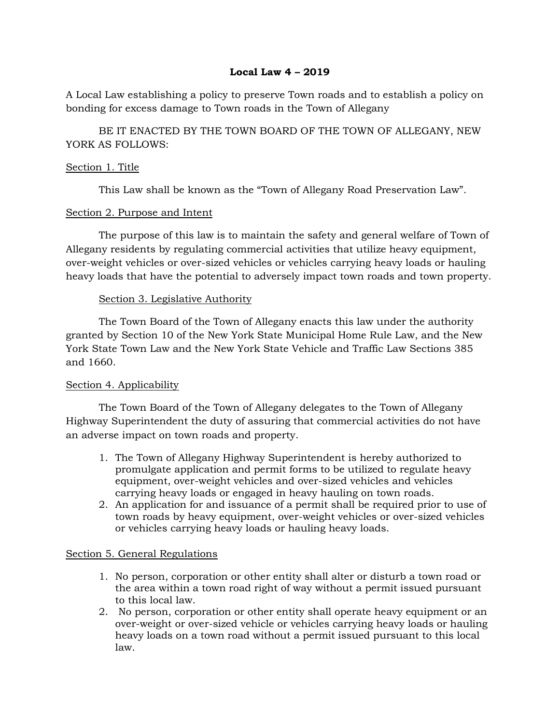### **Local Law 4 – 2019**

A Local Law establishing a policy to preserve Town roads and to establish a policy on bonding for excess damage to Town roads in the Town of Allegany

BE IT ENACTED BY THE TOWN BOARD OF THE TOWN OF ALLEGANY, NEW YORK AS FOLLOWS:

#### Section 1. Title

This Law shall be known as the "Town of Allegany Road Preservation Law".

### Section 2. Purpose and Intent

The purpose of this law is to maintain the safety and general welfare of Town of Allegany residents by regulating commercial activities that utilize heavy equipment, over-weight vehicles or over-sized vehicles or vehicles carrying heavy loads or hauling heavy loads that have the potential to adversely impact town roads and town property.

# Section 3. Legislative Authority

The Town Board of the Town of Allegany enacts this law under the authority granted by Section 10 of the New York State Municipal Home Rule Law, and the New York State Town Law and the New York State Vehicle and Traffic Law Sections 385 and 1660.

### Section 4. Applicability

The Town Board of the Town of Allegany delegates to the Town of Allegany Highway Superintendent the duty of assuring that commercial activities do not have an adverse impact on town roads and property.

- 1. The Town of Allegany Highway Superintendent is hereby authorized to promulgate application and permit forms to be utilized to regulate heavy equipment, over-weight vehicles and over-sized vehicles and vehicles carrying heavy loads or engaged in heavy hauling on town roads.
- 2. An application for and issuance of a permit shall be required prior to use of town roads by heavy equipment, over-weight vehicles or over-sized vehicles or vehicles carrying heavy loads or hauling heavy loads.

### Section 5. General Regulations

- 1. No person, corporation or other entity shall alter or disturb a town road or the area within a town road right of way without a permit issued pursuant to this local law.
- 2. No person, corporation or other entity shall operate heavy equipment or an over-weight or over-sized vehicle or vehicles carrying heavy loads or hauling heavy loads on a town road without a permit issued pursuant to this local law.